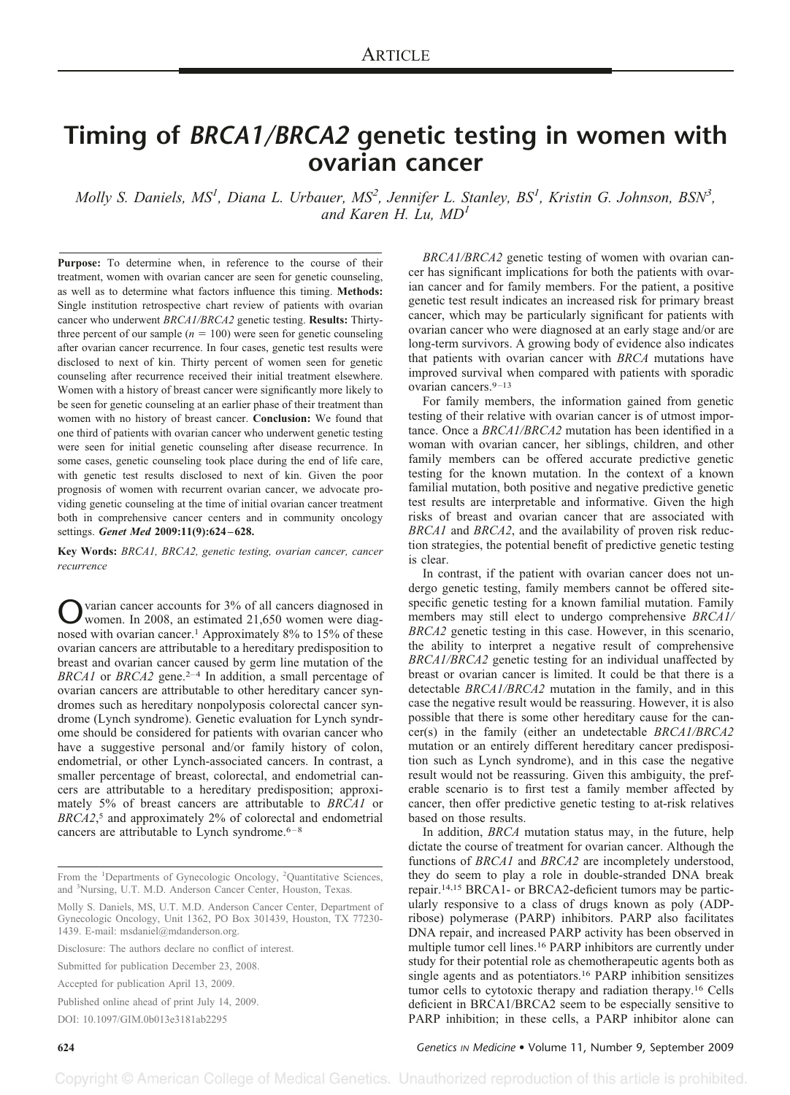# **Timing of** *BRCA1/BRCA2* **genetic testing in women with ovarian cancer**

*Molly S. Daniels, MS<sup>1</sup>, Diana L. Urbauer, MS<sup>2</sup>, Jennifer L. Stanley, BS<sup>1</sup>, Kristin G. Johnson, BSN<sup>3</sup>, and Karen H. Lu, MD1*

**Purpose:** To determine when, in reference to the course of their treatment, women with ovarian cancer are seen for genetic counseling, as well as to determine what factors influence this timing. **Methods:** Single institution retrospective chart review of patients with ovarian cancer who underwent *BRCA1/BRCA2* genetic testing. **Results:** Thirtythree percent of our sample  $(n = 100)$  were seen for genetic counseling after ovarian cancer recurrence. In four cases, genetic test results were disclosed to next of kin. Thirty percent of women seen for genetic counseling after recurrence received their initial treatment elsewhere. Women with a history of breast cancer were significantly more likely to be seen for genetic counseling at an earlier phase of their treatment than women with no history of breast cancer. **Conclusion:** We found that one third of patients with ovarian cancer who underwent genetic testing were seen for initial genetic counseling after disease recurrence. In some cases, genetic counseling took place during the end of life care, with genetic test results disclosed to next of kin. Given the poor prognosis of women with recurrent ovarian cancer, we advocate providing genetic counseling at the time of initial ovarian cancer treatment both in comprehensive cancer centers and in community oncology settings. *Genet Med* **2009:11(9):624 – 628.**

**Key Words:** *BRCA1, BRCA2, genetic testing, ovarian cancer, cancer recurrence*

varian cancer accounts for 3% of all cancers diagnosed in women. In 2008, an estimated 21,650 women were diagnosed with ovarian cancer.<sup>1</sup> Approximately 8% to 15% of these ovarian cancers are attributable to a hereditary predisposition to breast and ovarian cancer caused by germ line mutation of the *BRCA1* or *BRCA2* gene.<sup>2-4</sup> In addition, a small percentage of ovarian cancers are attributable to other hereditary cancer syndromes such as hereditary nonpolyposis colorectal cancer syndrome (Lynch syndrome). Genetic evaluation for Lynch syndrome should be considered for patients with ovarian cancer who have a suggestive personal and/or family history of colon, endometrial, or other Lynch-associated cancers. In contrast, a smaller percentage of breast, colorectal, and endometrial cancers are attributable to a hereditary predisposition; approximately 5% of breast cancers are attributable to *BRCA1* or *BRCA2*, <sup>5</sup> and approximately 2% of colorectal and endometrial cancers are attributable to Lynch syndrome.6–8

*BRCA1/BRCA2* genetic testing of women with ovarian cancer has significant implications for both the patients with ovarian cancer and for family members. For the patient, a positive genetic test result indicates an increased risk for primary breast cancer, which may be particularly significant for patients with ovarian cancer who were diagnosed at an early stage and/or are long-term survivors. A growing body of evidence also indicates that patients with ovarian cancer with *BRCA* mutations have improved survival when compared with patients with sporadic ovarian cancers.9 –13

For family members, the information gained from genetic testing of their relative with ovarian cancer is of utmost importance. Once a *BRCA1/BRCA2* mutation has been identified in a woman with ovarian cancer, her siblings, children, and other family members can be offered accurate predictive genetic testing for the known mutation. In the context of a known familial mutation, both positive and negative predictive genetic test results are interpretable and informative. Given the high risks of breast and ovarian cancer that are associated with *BRCA1* and *BRCA2*, and the availability of proven risk reduction strategies, the potential benefit of predictive genetic testing is clear.

In contrast, if the patient with ovarian cancer does not undergo genetic testing, family members cannot be offered sitespecific genetic testing for a known familial mutation. Family members may still elect to undergo comprehensive *BRCA1/ BRCA2* genetic testing in this case. However, in this scenario, the ability to interpret a negative result of comprehensive *BRCA1/BRCA2* genetic testing for an individual unaffected by breast or ovarian cancer is limited. It could be that there is a detectable *BRCA1/BRCA2* mutation in the family, and in this case the negative result would be reassuring. However, it is also possible that there is some other hereditary cause for the cancer(s) in the family (either an undetectable *BRCA1/BRCA2* mutation or an entirely different hereditary cancer predisposition such as Lynch syndrome), and in this case the negative result would not be reassuring. Given this ambiguity, the preferable scenario is to first test a family member affected by cancer, then offer predictive genetic testing to at-risk relatives based on those results.

In addition, *BRCA* mutation status may, in the future, help dictate the course of treatment for ovarian cancer. Although the functions of *BRCA1* and *BRCA2* are incompletely understood, they do seem to play a role in double-stranded DNA break repair.14,15 BRCA1- or BRCA2-deficient tumors may be particularly responsive to a class of drugs known as poly (ADPribose) polymerase (PARP) inhibitors. PARP also facilitates DNA repair, and increased PARP activity has been observed in multiple tumor cell lines.16 PARP inhibitors are currently under study for their potential role as chemotherapeutic agents both as single agents and as potentiators.16 PARP inhibition sensitizes tumor cells to cytotoxic therapy and radiation therapy.16 Cells deficient in BRCA1/BRCA2 seem to be especially sensitive to PARP inhibition; in these cells, a PARP inhibitor alone can

**624** *Genetics IN Medicine* • Volume 11, Number 9, September 2009

From the <sup>1</sup>Departments of Gynecologic Oncology, <sup>2</sup>Quantitative Sciences, and <sup>3</sup> Nursing, U.T. M.D. Anderson Cancer Center, Houston, Texas.

Molly S. Daniels, MS, U.T. M.D. Anderson Cancer Center, Department of Gynecologic Oncology, Unit 1362, PO Box 301439, Houston, TX 77230- 1439. E-mail: msdaniel@mdanderson.org.

Disclosure: The authors declare no conflict of interest.

Submitted for publication December 23, 2008.

Accepted for publication April 13, 2009.

Published online ahead of print July 14, 2009.

DOI: 10.1097/GIM.0b013e3181ab2295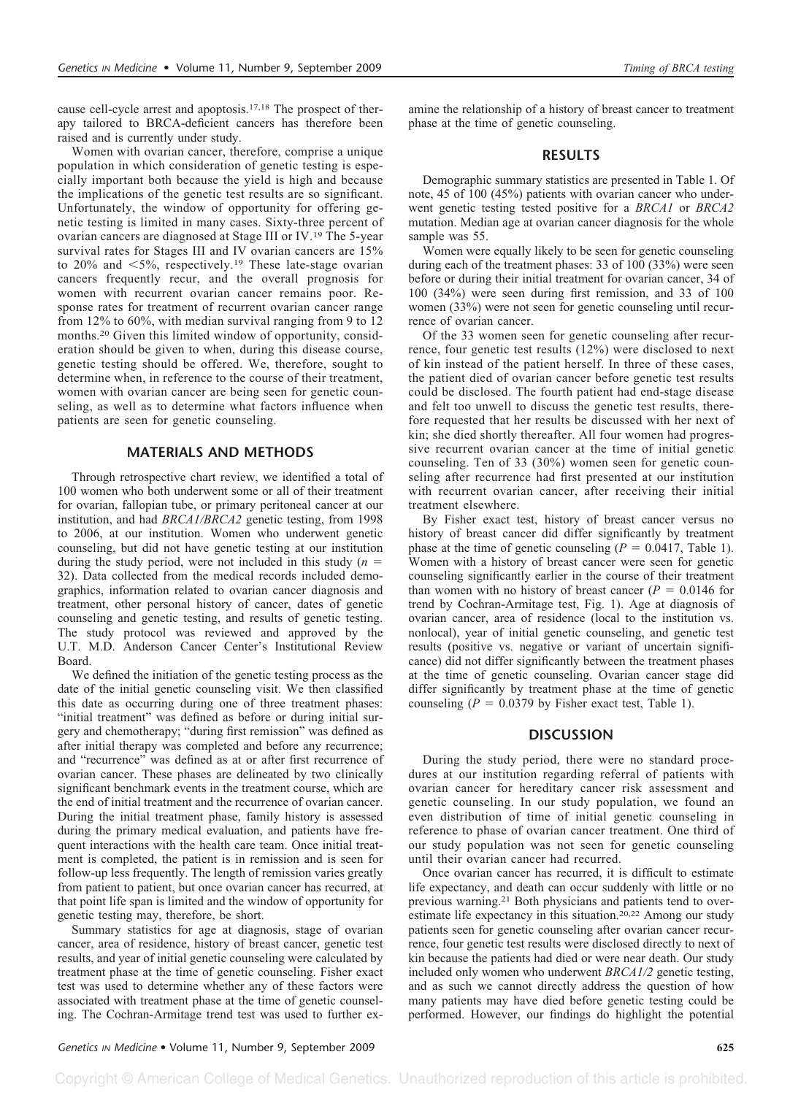cause cell-cycle arrest and apoptosis.17,18 The prospect of therapy tailored to BRCA-deficient cancers has therefore been raised and is currently under study.

Women with ovarian cancer, therefore, comprise a unique population in which consideration of genetic testing is especially important both because the yield is high and because the implications of the genetic test results are so significant. Unfortunately, the window of opportunity for offering genetic testing is limited in many cases. Sixty-three percent of ovarian cancers are diagnosed at Stage III or IV.19 The 5-year survival rates for Stages III and IV ovarian cancers are 15% to 20% and  $\leq 5\%$ , respectively.<sup>19</sup> These late-stage ovarian cancers frequently recur, and the overall prognosis for women with recurrent ovarian cancer remains poor. Response rates for treatment of recurrent ovarian cancer range from 12% to 60%, with median survival ranging from 9 to 12 months.20 Given this limited window of opportunity, consideration should be given to when, during this disease course, genetic testing should be offered. We, therefore, sought to determine when, in reference to the course of their treatment, women with ovarian cancer are being seen for genetic counseling, as well as to determine what factors influence when patients are seen for genetic counseling.

## **MATERIALS AND METHODS**

Through retrospective chart review, we identified a total of 100 women who both underwent some or all of their treatment for ovarian, fallopian tube, or primary peritoneal cancer at our institution, and had *BRCA1/BRCA2* genetic testing, from 1998 to 2006, at our institution. Women who underwent genetic counseling, but did not have genetic testing at our institution during the study period, were not included in this study  $(n =$ 32). Data collected from the medical records included demographics, information related to ovarian cancer diagnosis and treatment, other personal history of cancer, dates of genetic counseling and genetic testing, and results of genetic testing. The study protocol was reviewed and approved by the U.T. M.D. Anderson Cancer Center's Institutional Review Board.

We defined the initiation of the genetic testing process as the date of the initial genetic counseling visit. We then classified this date as occurring during one of three treatment phases: "initial treatment" was defined as before or during initial surgery and chemotherapy; "during first remission" was defined as after initial therapy was completed and before any recurrence; and "recurrence" was defined as at or after first recurrence of ovarian cancer. These phases are delineated by two clinically significant benchmark events in the treatment course, which are the end of initial treatment and the recurrence of ovarian cancer. During the initial treatment phase, family history is assessed during the primary medical evaluation, and patients have frequent interactions with the health care team. Once initial treatment is completed, the patient is in remission and is seen for follow-up less frequently. The length of remission varies greatly from patient to patient, but once ovarian cancer has recurred, at that point life span is limited and the window of opportunity for genetic testing may, therefore, be short.

Summary statistics for age at diagnosis, stage of ovarian cancer, area of residence, history of breast cancer, genetic test results, and year of initial genetic counseling were calculated by treatment phase at the time of genetic counseling. Fisher exact test was used to determine whether any of these factors were associated with treatment phase at the time of genetic counseling. The Cochran-Armitage trend test was used to further examine the relationship of a history of breast cancer to treatment phase at the time of genetic counseling.

## **RESULTS**

Demographic summary statistics are presented in Table 1. Of note, 45 of 100 (45%) patients with ovarian cancer who underwent genetic testing tested positive for a *BRCA1* or *BRCA2* mutation. Median age at ovarian cancer diagnosis for the whole sample was 55.

Women were equally likely to be seen for genetic counseling during each of the treatment phases: 33 of 100 (33%) were seen before or during their initial treatment for ovarian cancer, 34 of 100 (34%) were seen during first remission, and 33 of 100 women (33%) were not seen for genetic counseling until recurrence of ovarian cancer.

Of the 33 women seen for genetic counseling after recurrence, four genetic test results (12%) were disclosed to next of kin instead of the patient herself. In three of these cases, the patient died of ovarian cancer before genetic test results could be disclosed. The fourth patient had end-stage disease and felt too unwell to discuss the genetic test results, therefore requested that her results be discussed with her next of kin; she died shortly thereafter. All four women had progressive recurrent ovarian cancer at the time of initial genetic counseling. Ten of 33 (30%) women seen for genetic counseling after recurrence had first presented at our institution with recurrent ovarian cancer, after receiving their initial treatment elsewhere.

By Fisher exact test, history of breast cancer versus no history of breast cancer did differ significantly by treatment phase at the time of genetic counseling  $(P = 0.0417,$  Table 1). Women with a history of breast cancer were seen for genetic counseling significantly earlier in the course of their treatment than women with no history of breast cancer  $(P = 0.0146$  for trend by Cochran-Armitage test, Fig. 1). Age at diagnosis of ovarian cancer, area of residence (local to the institution vs. nonlocal), year of initial genetic counseling, and genetic test results (positive vs. negative or variant of uncertain significance) did not differ significantly between the treatment phases at the time of genetic counseling. Ovarian cancer stage did differ significantly by treatment phase at the time of genetic counseling  $(P = 0.0379$  by Fisher exact test, Table 1).

### **DISCUSSION**

During the study period, there were no standard procedures at our institution regarding referral of patients with ovarian cancer for hereditary cancer risk assessment and genetic counseling. In our study population, we found an even distribution of time of initial genetic counseling in reference to phase of ovarian cancer treatment. One third of our study population was not seen for genetic counseling until their ovarian cancer had recurred.

Once ovarian cancer has recurred, it is difficult to estimate life expectancy, and death can occur suddenly with little or no previous warning.21 Both physicians and patients tend to overestimate life expectancy in this situation.20,22 Among our study patients seen for genetic counseling after ovarian cancer recurrence, four genetic test results were disclosed directly to next of kin because the patients had died or were near death. Our study included only women who underwent *BRCA1/2* genetic testing, and as such we cannot directly address the question of how many patients may have died before genetic testing could be performed. However, our findings do highlight the potential

Copyright © American College of Medical Genetics. Unauthorized reproduction of this article is prohibited.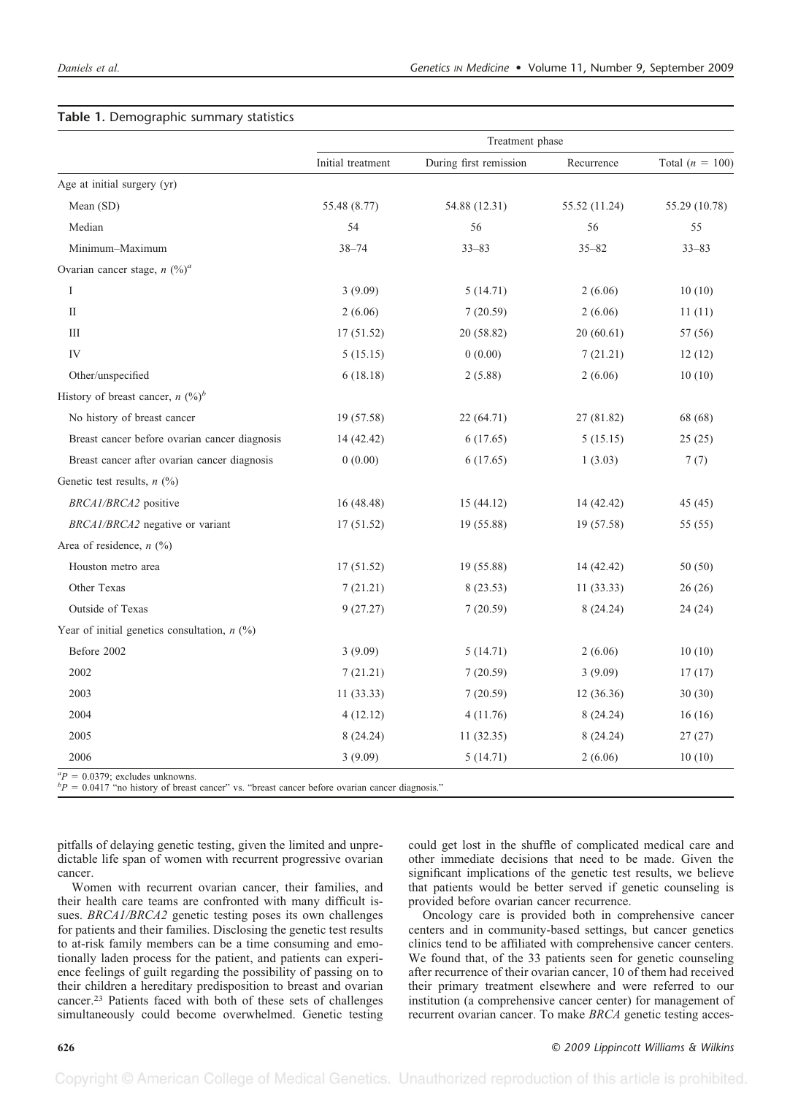|                                                | Treatment phase   |                        |               |                   |
|------------------------------------------------|-------------------|------------------------|---------------|-------------------|
|                                                | Initial treatment | During first remission | Recurrence    | Total $(n = 100)$ |
| Age at initial surgery (yr)                    |                   |                        |               |                   |
| Mean (SD)                                      | 55.48 (8.77)      | 54.88 (12.31)          | 55.52 (11.24) | 55.29 (10.78)     |
| Median                                         | 54                | 56                     | 56            | 55                |
| Minimum-Maximum                                | $38 - 74$         | $33 - 83$              | $35 - 82$     | $33 - 83$         |
| Ovarian cancer stage, $n \binom{0}{0}^a$       |                   |                        |               |                   |
| I                                              | 3(9.09)           | 5(14.71)               | 2(6.06)       | 10(10)            |
| $\mathbf{I}$                                   | 2(6.06)           | 7(20.59)               | 2(6.06)       | 11(11)            |
| Ш                                              | 17(51.52)         | 20 (58.82)             | 20(60.61)     | 57 (56)           |
| IV                                             | 5(15.15)          | 0(0.00)                | 7(21.21)      | 12(12)            |
| Other/unspecified                              | 6(18.18)          | 2(5.88)                | 2(6.06)       | 10(10)            |
| History of breast cancer, $n (%)^b$            |                   |                        |               |                   |
| No history of breast cancer                    | 19 (57.58)        | 22 (64.71)             | 27 (81.82)    | 68 (68)           |
| Breast cancer before ovarian cancer diagnosis  | 14 (42.42)        | 6(17.65)               | 5(15.15)      | 25(25)            |
| Breast cancer after ovarian cancer diagnosis   | 0(0.00)           | 6(17.65)               | 1(3.03)       | 7(7)              |
| Genetic test results, $n$ (%)                  |                   |                        |               |                   |
| BRCA1/BRCA2 positive                           | 16 (48.48)        | 15(44.12)              | 14 (42.42)    | 45 (45)           |
| BRCA1/BRCA2 negative or variant                | 17(51.52)         | 19 (55.88)             | 19 (57.58)    | 55 (55)           |
| Area of residence, $n$ (%)                     |                   |                        |               |                   |
| Houston metro area                             | 17(51.52)         | 19 (55.88)             | 14 (42.42)    | 50 (50)           |
| Other Texas                                    | 7(21.21)          | 8(23.53)               | 11(33.33)     | 26(26)            |
| Outside of Texas                               | 9(27.27)          | 7(20.59)               | 8(24.24)      | 24 (24)           |
| Year of initial genetics consultation, $n$ (%) |                   |                        |               |                   |
| Before 2002                                    | 3(9.09)           | 5(14.71)               | 2(6.06)       | 10(10)            |
| 2002                                           | 7(21.21)          | 7(20.59)               | 3(9.09)       | 17(17)            |
| 2003                                           | 11(33.33)         | 7(20.59)               | 12(36.36)     | 30(30)            |
| 2004                                           | 4(12.12)          | 4(11.76)               | 8(24.24)      | 16(16)            |
| 2005                                           | 8(24.24)          | 11 (32.35)             | 8(24.24)      | 27(27)            |
| 2006                                           | 3(9.09)           | 5(14.71)               | 2(6.06)       | 10(10)            |

## **Table 1.** Demographic summary statistics

 ${}^{p}P = 0.0379$ ; excludes unknowns.<br> ${}^{b}P = 0.0417$  "no history of breast cancer" vs. "breast cancer before ovarian cancer diagnosis."

pitfalls of delaying genetic testing, given the limited and unpredictable life span of women with recurrent progressive ovarian cancer.

Women with recurrent ovarian cancer, their families, and their health care teams are confronted with many difficult issues. *BRCA1/BRCA2* genetic testing poses its own challenges for patients and their families. Disclosing the genetic test results to at-risk family members can be a time consuming and emotionally laden process for the patient, and patients can experience feelings of guilt regarding the possibility of passing on to their children a hereditary predisposition to breast and ovarian cancer.23 Patients faced with both of these sets of challenges simultaneously could become overwhelmed. Genetic testing

could get lost in the shuffle of complicated medical care and other immediate decisions that need to be made. Given the significant implications of the genetic test results, we believe that patients would be better served if genetic counseling is provided before ovarian cancer recurrence.

Oncology care is provided both in comprehensive cancer centers and in community-based settings, but cancer genetics clinics tend to be affiliated with comprehensive cancer centers. We found that, of the 33 patients seen for genetic counseling after recurrence of their ovarian cancer, 10 of them had received their primary treatment elsewhere and were referred to our institution (a comprehensive cancer center) for management of recurrent ovarian cancer. To make *BRCA* genetic testing acces-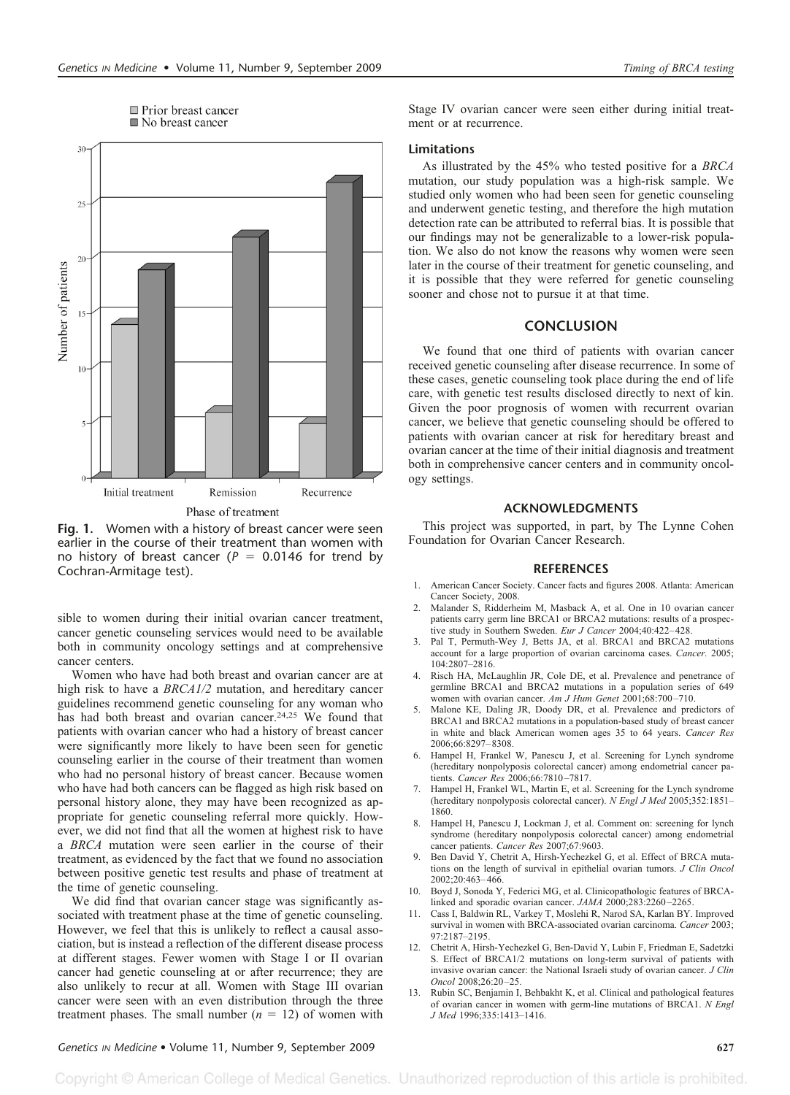

□ Prior breast cancer No breast cancer

**Fig. 1.** Women with a history of breast cancer were seen earlier in the course of their treatment than women with no history of breast cancer ( $P = 0.0146$  for trend by Cochran-Armitage test).

sible to women during their initial ovarian cancer treatment, cancer genetic counseling services would need to be available both in community oncology settings and at comprehensive cancer centers.

Women who have had both breast and ovarian cancer are at high risk to have a *BRCA1/2* mutation, and hereditary cancer guidelines recommend genetic counseling for any woman who has had both breast and ovarian cancer.24,25 We found that patients with ovarian cancer who had a history of breast cancer were significantly more likely to have been seen for genetic counseling earlier in the course of their treatment than women who had no personal history of breast cancer. Because women who have had both cancers can be flagged as high risk based on personal history alone, they may have been recognized as appropriate for genetic counseling referral more quickly. However, we did not find that all the women at highest risk to have a *BRCA* mutation were seen earlier in the course of their treatment, as evidenced by the fact that we found no association between positive genetic test results and phase of treatment at the time of genetic counseling.

We did find that ovarian cancer stage was significantly associated with treatment phase at the time of genetic counseling. However, we feel that this is unlikely to reflect a causal association, but is instead a reflection of the different disease process at different stages. Fewer women with Stage I or II ovarian cancer had genetic counseling at or after recurrence; they are also unlikely to recur at all. Women with Stage III ovarian cancer were seen with an even distribution through the three treatment phases. The small number  $(n = 12)$  of women with Stage IV ovarian cancer were seen either during initial treatment or at recurrence.

#### **Limitations**

As illustrated by the 45% who tested positive for a *BRCA* mutation, our study population was a high-risk sample. We studied only women who had been seen for genetic counseling and underwent genetic testing, and therefore the high mutation detection rate can be attributed to referral bias. It is possible that our findings may not be generalizable to a lower-risk population. We also do not know the reasons why women were seen later in the course of their treatment for genetic counseling, and it is possible that they were referred for genetic counseling sooner and chose not to pursue it at that time.

## **CONCLUSION**

We found that one third of patients with ovarian cancer received genetic counseling after disease recurrence. In some of these cases, genetic counseling took place during the end of life care, with genetic test results disclosed directly to next of kin. Given the poor prognosis of women with recurrent ovarian cancer, we believe that genetic counseling should be offered to patients with ovarian cancer at risk for hereditary breast and ovarian cancer at the time of their initial diagnosis and treatment both in comprehensive cancer centers and in community oncology settings.

## **ACKNOWLEDGMENTS**

This project was supported, in part, by The Lynne Cohen Foundation for Ovarian Cancer Research.

#### **REFERENCES**

- 1. American Cancer Society. Cancer facts and figures 2008. Atlanta: American Cancer Society, 2008.
- 2. Malander S, Ridderheim M, Masback A, et al. One in 10 ovarian cancer patients carry germ line BRCA1 or BRCA2 mutations: results of a prospective study in Southern Sweden. *Eur J Cancer* 2004;40:422– 428.
- 3. Pal T, Permuth-Wey J, Betts JA, et al. BRCA1 and BRCA2 mutations account for a large proportion of ovarian carcinoma cases. *Cancer.* 2005; 104:2807–2816.
- 4. Risch HA, McLaughlin JR, Cole DE, et al. Prevalence and penetrance of germline BRCA1 and BRCA2 mutations in a population series of 649 women with ovarian cancer. *Am J Hum Genet* 2001;68:700 –710.
- 5. Malone KE, Daling JR, Doody DR, et al. Prevalence and predictors of BRCA1 and BRCA2 mutations in a population-based study of breast cancer in white and black American women ages 35 to 64 years. *Cancer Res* 2006;66:8297– 8308.
- 6. Hampel H, Frankel W, Panescu J, et al. Screening for Lynch syndrome (hereditary nonpolyposis colorectal cancer) among endometrial cancer patients. *Cancer Res* 2006;66:7810 –7817.
- 7. Hampel H, Frankel WL, Martin E, et al. Screening for the Lynch syndrome (hereditary nonpolyposis colorectal cancer). *N Engl J Med* 2005;352:1851– 1860.
- 8. Hampel H, Panescu J, Lockman J, et al. Comment on: screening for lynch syndrome (hereditary nonpolyposis colorectal cancer) among endometrial cancer patients. *Cancer Res* 2007;67:9603.
- 9. Ben David Y, Chetrit A, Hirsh-Yechezkel G, et al. Effect of BRCA mutations on the length of survival in epithelial ovarian tumors. *J Clin Oncol* 2002;20:463– 466.
- 10. Boyd J, Sonoda Y, Federici MG, et al. Clinicopathologic features of BRCAlinked and sporadic ovarian cancer. *JAMA* 2000;283:2260 –2265.
- 11. Cass I, Baldwin RL, Varkey T, Moslehi R, Narod SA, Karlan BY. Improved survival in women with BRCA-associated ovarian carcinoma. *Cancer* 2003; 97:2187–2195.
- 12. Chetrit A, Hirsh-Yechezkel G, Ben-David Y, Lubin F, Friedman E, Sadetzki S. Effect of BRCA1/2 mutations on long-term survival of patients with invasive ovarian cancer: the National Israeli study of ovarian cancer. *J Clin Oncol* 2008;26:20 –25.
- 13. Rubin SC, Benjamin I, Behbakht K, et al. Clinical and pathological features of ovarian cancer in women with germ-line mutations of BRCA1. *N Engl J Med* 1996;335:1413–1416.

## *Genetics IN Medicine* • Volume 11, Number 9, September 2009 **627**